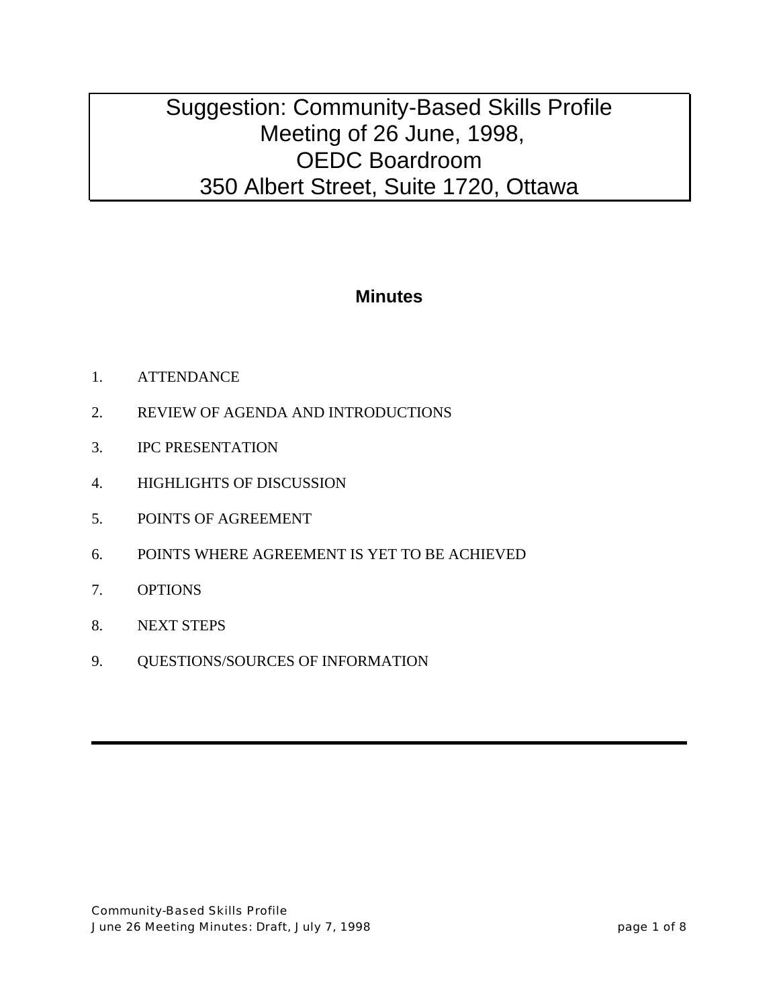## **Minutes**

- 1. ATTENDANCE
- 2. REVIEW OF AGENDA AND INTRODUCTIONS
- 3. IPC PRESENTATION
- 4. HIGHLIGHTS OF DISCUSSION
- 5. POINTS OF AGREEMENT
- 6. POINTS WHERE AGREEMENT IS YET TO BE ACHIEVED
- 7. OPTIONS
- 8. NEXT STEPS
- 9. QUESTIONS/SOURCES OF INFORMATION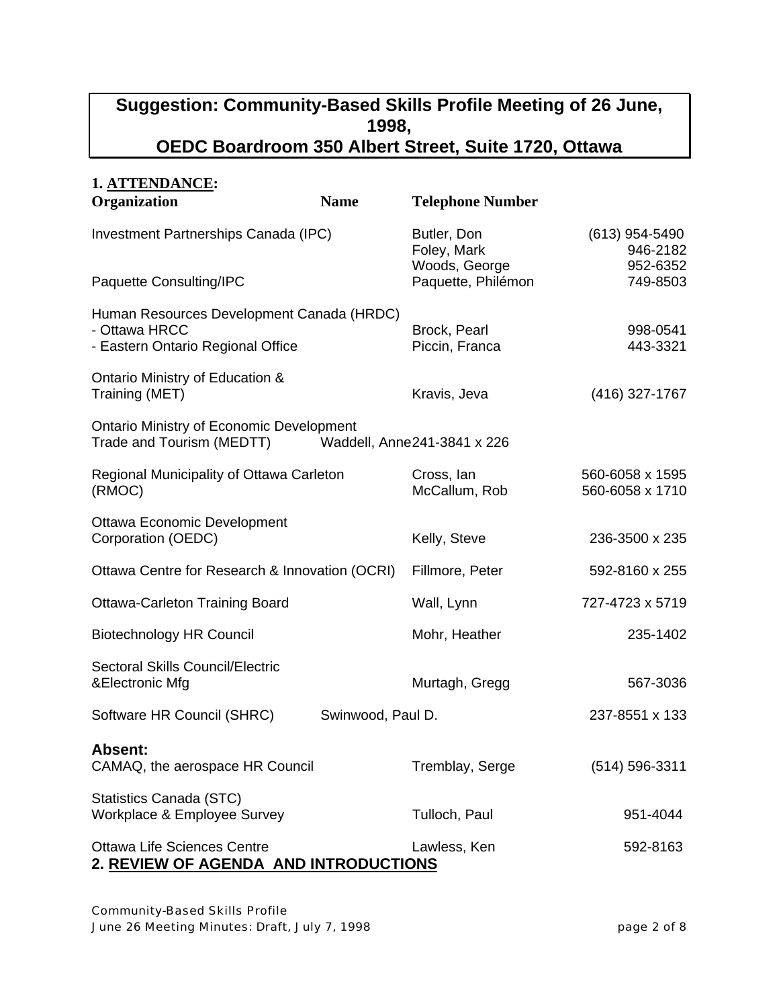| 1. ATTENDANCE:                                                                                          |                   |                                                                   |                                                      |
|---------------------------------------------------------------------------------------------------------|-------------------|-------------------------------------------------------------------|------------------------------------------------------|
| Organization                                                                                            | <b>Name</b>       | <b>Telephone Number</b>                                           |                                                      |
| Investment Partnerships Canada (IPC)<br>Paquette Consulting/IPC                                         |                   | Butler, Don<br>Foley, Mark<br>Woods, George<br>Paquette, Philémon | $(613)$ 954-5490<br>946-2182<br>952-6352<br>749-8503 |
| Human Resources Development Canada (HRDC)<br>- Ottawa HRCC<br>- Eastern Ontario Regional Office         |                   | Brock, Pearl<br>Piccin, Franca                                    | 998-0541<br>443-3321                                 |
| Ontario Ministry of Education &<br>Training (MET)                                                       |                   | Kravis, Jeva                                                      | (416) 327-1767                                       |
| <b>Ontario Ministry of Economic Development</b><br>Trade and Tourism (MEDTT)                            |                   | Waddell, Anne241-3841 x 226                                       |                                                      |
| Regional Municipality of Ottawa Carleton<br>(RMOC)<br>Ottawa Economic Development<br>Corporation (OEDC) |                   | Cross, lan<br>McCallum, Rob                                       | 560-6058 x 1595<br>560-6058 x 1710                   |
|                                                                                                         |                   | Kelly, Steve                                                      | 236-3500 x 235                                       |
| Ottawa Centre for Research & Innovation (OCRI)                                                          |                   | Fillmore, Peter                                                   | 592-8160 x 255                                       |
| <b>Ottawa-Carleton Training Board</b><br><b>Biotechnology HR Council</b>                                |                   | Wall, Lynn                                                        | 727-4723 x 5719                                      |
|                                                                                                         |                   | Mohr, Heather                                                     | 235-1402                                             |
| Sectoral Skills Council/Electric<br>&Electronic Mfg                                                     |                   | Murtagh, Gregg                                                    | 567-3036                                             |
| Software HR Council (SHRC)                                                                              | Swinwood, Paul D. |                                                                   | 237-8551 x 133                                       |
| <b>Absent:</b><br>CAMAQ, the aerospace HR Council                                                       |                   | Tremblay, Serge                                                   | $(514) 596 - 3311$                                   |
| Statistics Canada (STC)<br>Workplace & Employee Survey                                                  |                   | Tulloch, Paul                                                     | 951-4044                                             |
| <b>Ottawa Life Sciences Centre</b><br>2. REVIEW OF AGENDA AND INTRODUCTIONS                             |                   | Lawless, Ken                                                      | 592-8163                                             |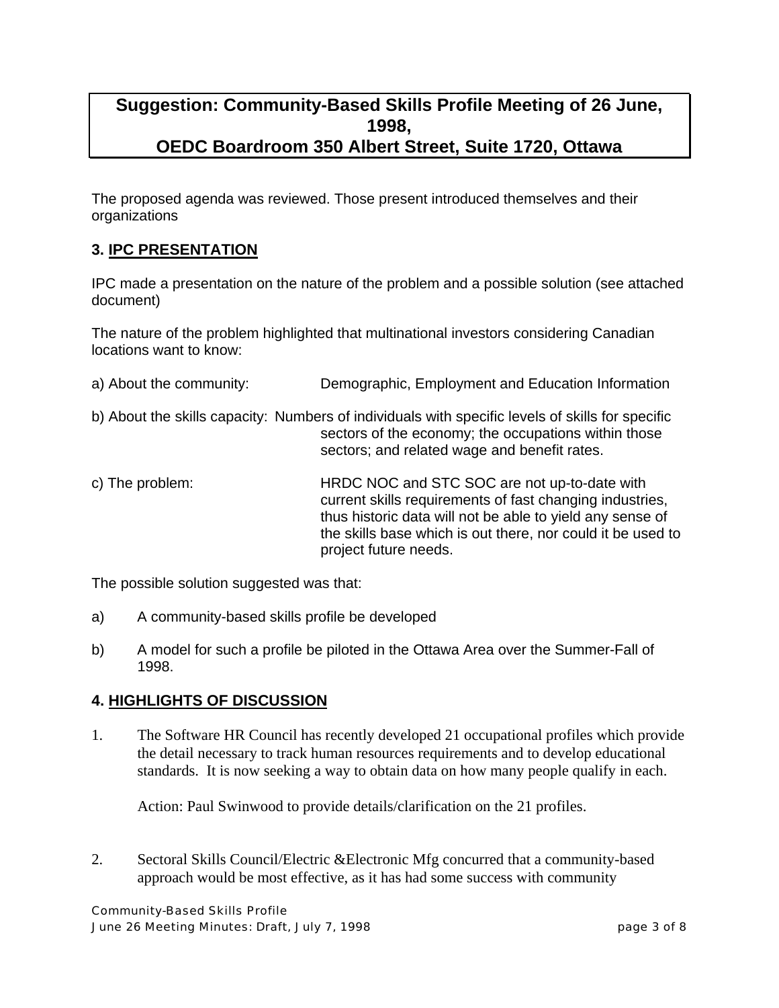The proposed agenda was reviewed. Those present introduced themselves and their organizations

#### **3. IPC PRESENTATION**

IPC made a presentation on the nature of the problem and a possible solution (see attached document)

The nature of the problem highlighted that multinational investors considering Canadian locations want to know:

| a) About the community: | Demographic, Employment and Education Information                                                                                                                                                                                                             |
|-------------------------|---------------------------------------------------------------------------------------------------------------------------------------------------------------------------------------------------------------------------------------------------------------|
|                         | b) About the skills capacity: Numbers of individuals with specific levels of skills for specific<br>sectors of the economy; the occupations within those<br>sectors; and related wage and benefit rates.                                                      |
| c) The problem:         | HRDC NOC and STC SOC are not up-to-date with<br>current skills requirements of fast changing industries,<br>thus historic data will not be able to yield any sense of<br>the skills base which is out there, nor could it be used to<br>project future needs. |

The possible solution suggested was that:

- a) A community-based skills profile be developed
- b) A model for such a profile be piloted in the Ottawa Area over the Summer-Fall of 1998.

#### **4. HIGHLIGHTS OF DISCUSSION**

1. The Software HR Council has recently developed 21 occupational profiles which provide the detail necessary to track human resources requirements and to develop educational standards. It is now seeking a way to obtain data on how many people qualify in each.

Action: Paul Swinwood to provide details/clarification on the 21 profiles.

2. Sectoral Skills Council/Electric &Electronic Mfg concurred that a community-based approach would be most effective, as it has had some success with community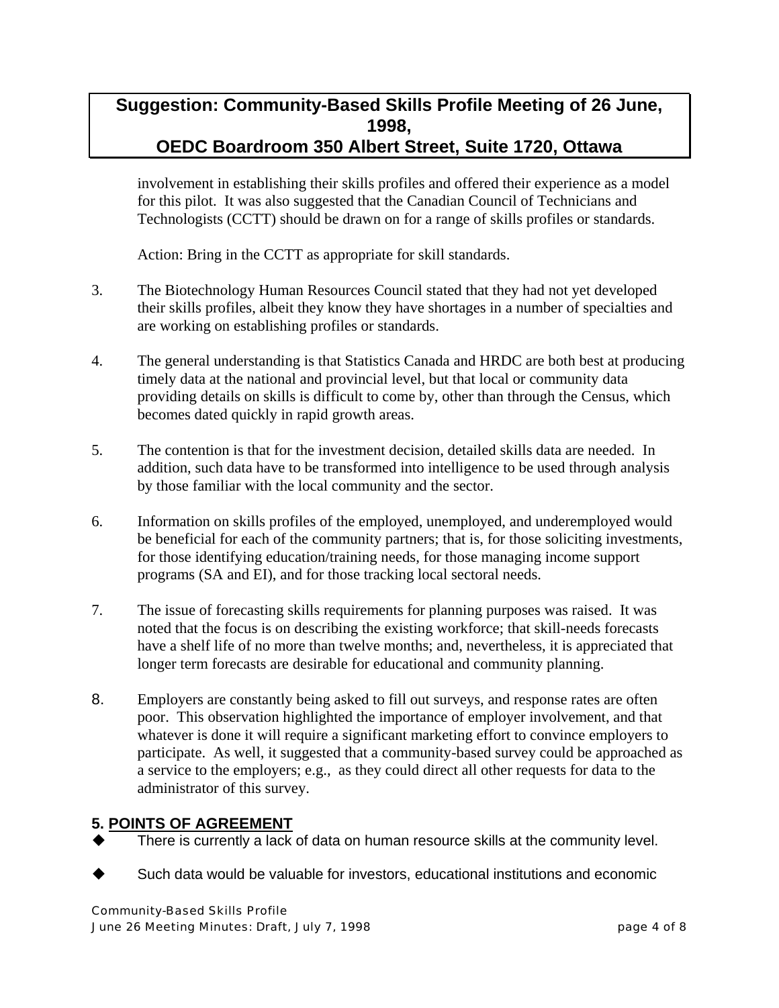involvement in establishing their skills profiles and offered their experience as a model for this pilot. It was also suggested that the Canadian Council of Technicians and Technologists (CCTT) should be drawn on for a range of skills profiles or standards.

Action: Bring in the CCTT as appropriate for skill standards.

- 3. The Biotechnology Human Resources Council stated that they had not yet developed their skills profiles, albeit they know they have shortages in a number of specialties and are working on establishing profiles or standards.
- 4. The general understanding is that Statistics Canada and HRDC are both best at producing timely data at the national and provincial level, but that local or community data providing details on skills is difficult to come by, other than through the Census, which becomes dated quickly in rapid growth areas.
- 5. The contention is that for the investment decision, detailed skills data are needed. In addition, such data have to be transformed into intelligence to be used through analysis by those familiar with the local community and the sector.
- 6. Information on skills profiles of the employed, unemployed, and underemployed would be beneficial for each of the community partners; that is, for those soliciting investments, for those identifying education/training needs, for those managing income support programs (SA and EI), and for those tracking local sectoral needs.
- 7. The issue of forecasting skills requirements for planning purposes was raised. It was noted that the focus is on describing the existing workforce; that skill-needs forecasts have a shelf life of no more than twelve months; and, nevertheless, it is appreciated that longer term forecasts are desirable for educational and community planning.
- 8. Employers are constantly being asked to fill out surveys, and response rates are often poor. This observation highlighted the importance of employer involvement, and that whatever is done it will require a significant marketing effort to convince employers to participate. As well, it suggested that a community-based survey could be approached as a service to the employers; e.g., as they could direct all other requests for data to the administrator of this survey.

#### **5. POINTS OF AGREEMENT**

- There is currently a lack of data on human resource skills at the community level.
- Such data would be valuable for investors, educational institutions and economic

Community-Based Skills Profile June 26 Meeting Minutes: Draft, July 7, 1998 **page 4 of 8** page 4 of 8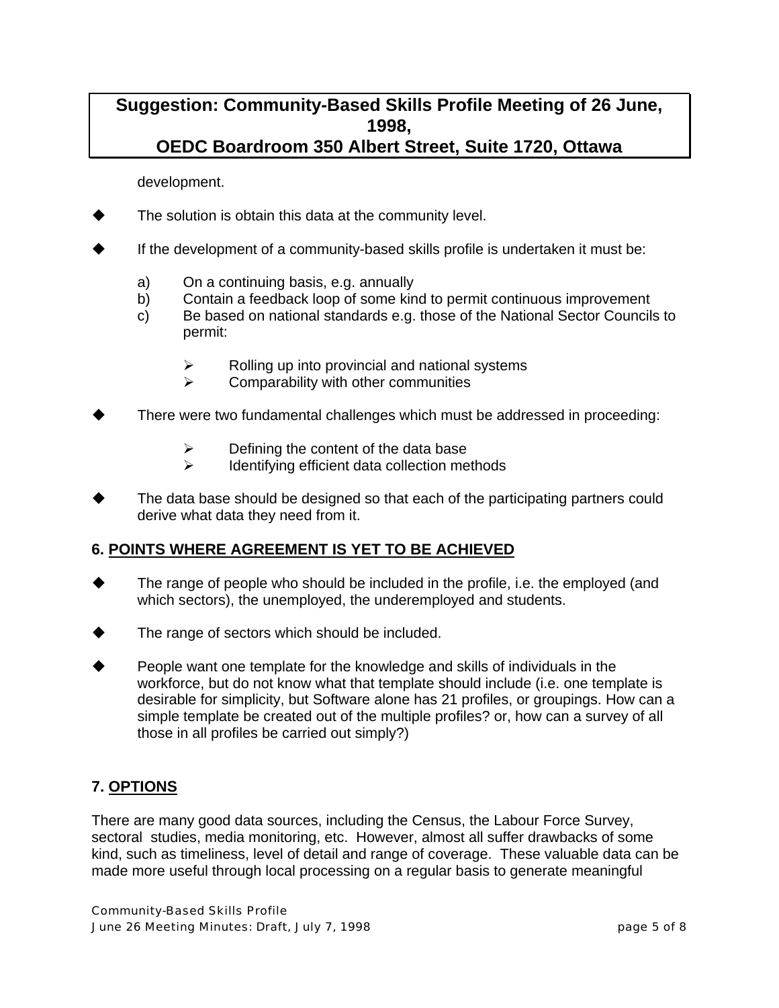development.

- The solution is obtain this data at the community level.
- If the development of a community-based skills profile is undertaken it must be:
	- a) On a continuing basis, e.g. annually
	- b) Contain a feedback loop of some kind to permit continuous improvement
	- c) Be based on national standards e.g. those of the National Sector Councils to permit:
		- $\triangleright$  Rolling up into provincial and national systems
		- $\triangleright$  Comparability with other communities
- There were two fundamental challenges which must be addressed in proceeding:
	- $\triangleright$  Defining the content of the data base
	- $\triangleright$  Identifying efficient data collection methods
- The data base should be designed so that each of the participating partners could derive what data they need from it.

#### **6. POINTS WHERE AGREEMENT IS YET TO BE ACHIEVED**

- The range of people who should be included in the profile, i.e. the employed (and which sectors), the unemployed, the underemployed and students.
- The range of sectors which should be included.
- People want one template for the knowledge and skills of individuals in the workforce, but do not know what that template should include (i.e. one template is desirable for simplicity, but Software alone has 21 profiles, or groupings. How can a simple template be created out of the multiple profiles? or, how can a survey of all those in all profiles be carried out simply?)

#### **7. OPTIONS**

There are many good data sources, including the Census, the Labour Force Survey, sectoral studies, media monitoring, etc. However, almost all suffer drawbacks of some kind, such as timeliness, level of detail and range of coverage. These valuable data can be made more useful through local processing on a regular basis to generate meaningful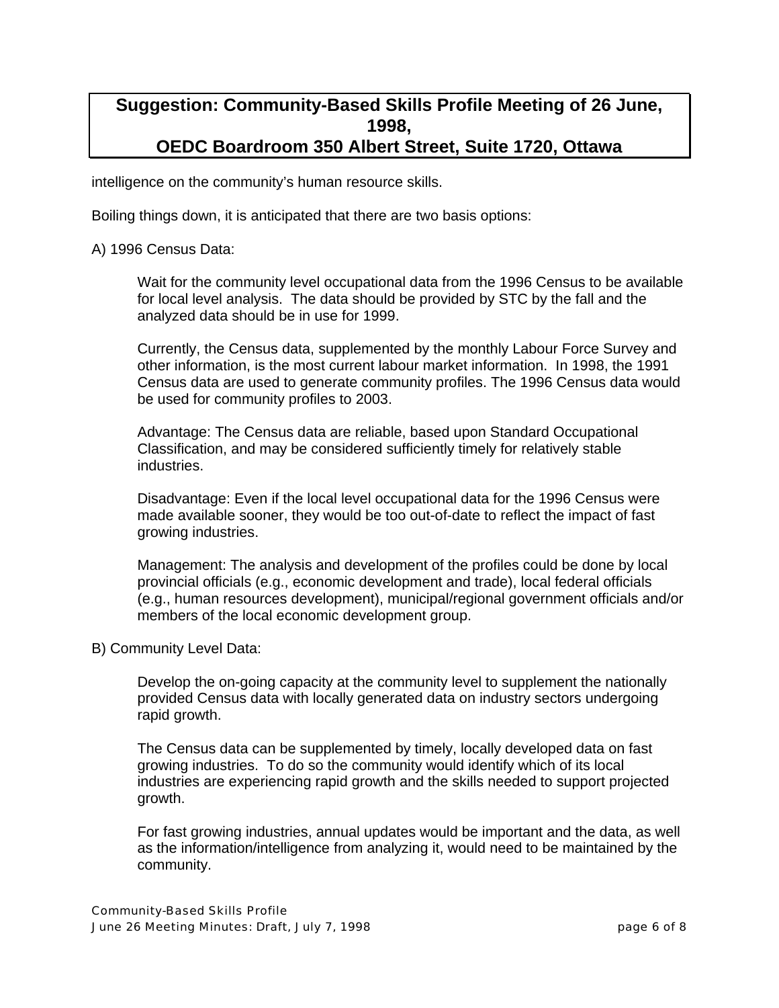intelligence on the community's human resource skills.

Boiling things down, it is anticipated that there are two basis options:

A) 1996 Census Data:

Wait for the community level occupational data from the 1996 Census to be available for local level analysis. The data should be provided by STC by the fall and the analyzed data should be in use for 1999.

Currently, the Census data, supplemented by the monthly Labour Force Survey and other information, is the most current labour market information. In 1998, the 1991 Census data are used to generate community profiles. The 1996 Census data would be used for community profiles to 2003.

Advantage: The Census data are reliable, based upon Standard Occupational Classification, and may be considered sufficiently timely for relatively stable industries.

Disadvantage: Even if the local level occupational data for the 1996 Census were made available sooner, they would be too out-of-date to reflect the impact of fast growing industries.

Management: The analysis and development of the profiles could be done by local provincial officials (e.g., economic development and trade), local federal officials (e.g., human resources development), municipal/regional government officials and/or members of the local economic development group.

#### B) Community Level Data:

Develop the on-going capacity at the community level to supplement the nationally provided Census data with locally generated data on industry sectors undergoing rapid growth.

The Census data can be supplemented by timely, locally developed data on fast growing industries. To do so the community would identify which of its local industries are experiencing rapid growth and the skills needed to support projected growth.

For fast growing industries, annual updates would be important and the data, as well as the information/intelligence from analyzing it, would need to be maintained by the community.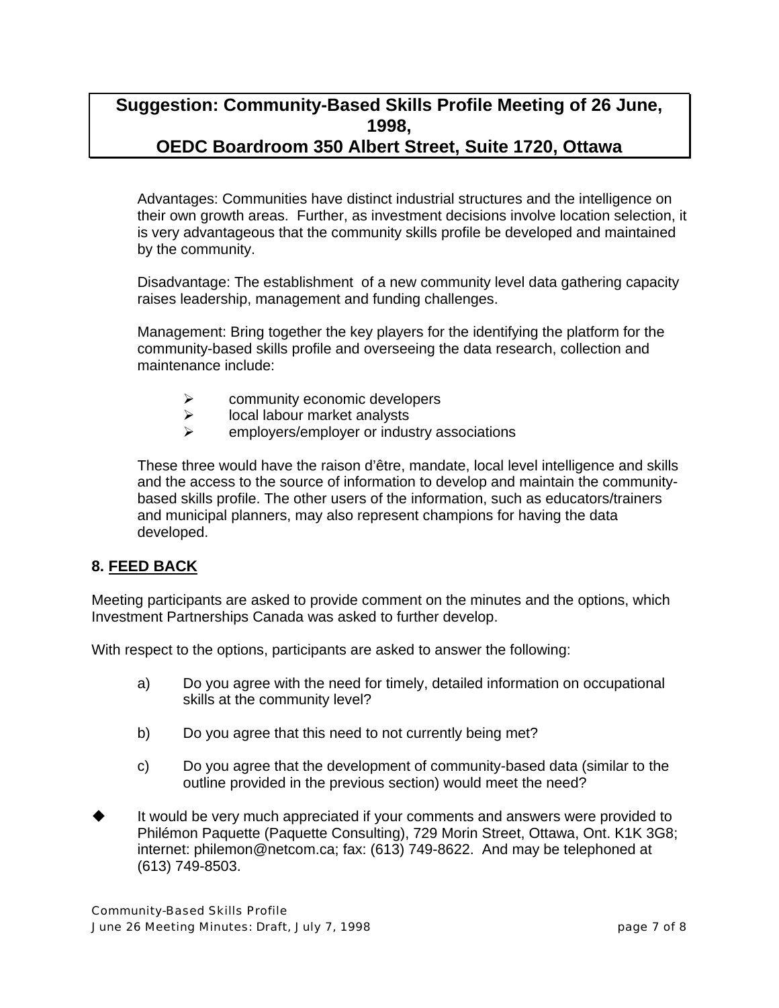Advantages: Communities have distinct industrial structures and the intelligence on their own growth areas. Further, as investment decisions involve location selection, it is very advantageous that the community skills profile be developed and maintained by the community.

Disadvantage: The establishment of a new community level data gathering capacity raises leadership, management and funding challenges.

Management: Bring together the key players for the identifying the platform for the community-based skills profile and overseeing the data research, collection and maintenance include:

- $\triangleright$  community economic developers
- $\triangleright$  local labour market analysts
- ¾ employers/employer or industry associations

These three would have the raison d'être, mandate, local level intelligence and skills and the access to the source of information to develop and maintain the communitybased skills profile. The other users of the information, such as educators/trainers and municipal planners, may also represent champions for having the data developed.

#### **8. FEED BACK**

Meeting participants are asked to provide comment on the minutes and the options, which Investment Partnerships Canada was asked to further develop.

With respect to the options, participants are asked to answer the following:

- a) Do you agree with the need for timely, detailed information on occupational skills at the community level?
- b) Do you agree that this need to not currently being met?
- c) Do you agree that the development of community-based data (similar to the outline provided in the previous section) would meet the need?
- It would be very much appreciated if your comments and answers were provided to Philémon Paquette (Paquette Consulting), 729 Morin Street, Ottawa, Ont. K1K 3G8; internet: philemon@netcom.ca; fax: (613) 749-8622. And may be telephoned at (613) 749-8503.